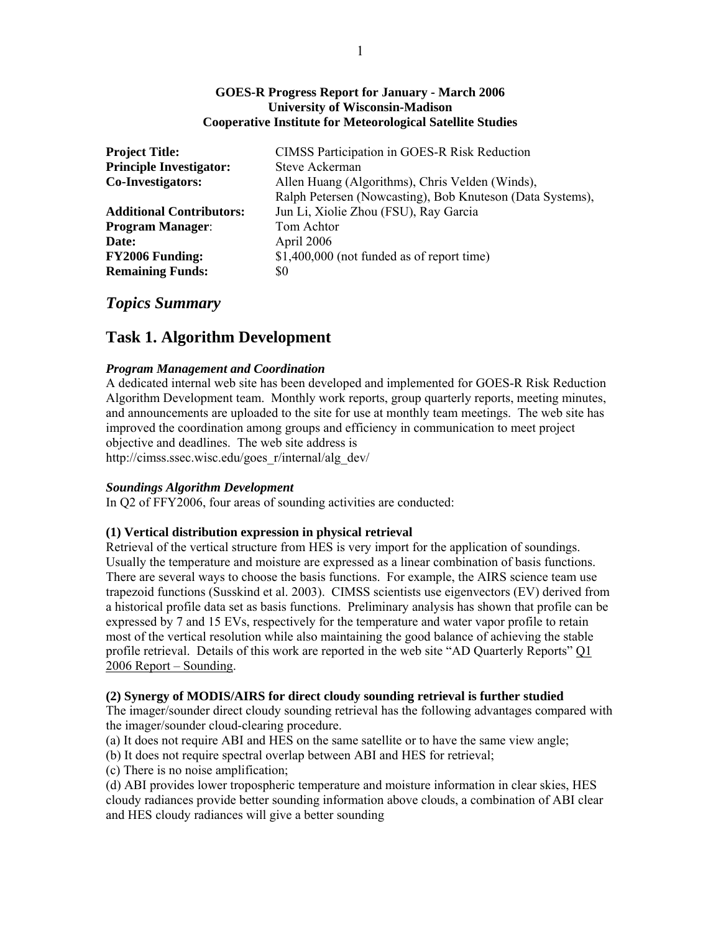### **GOES-R Progress Report for January - March 2006 University of Wisconsin-Madison Cooperative Institute for Meteorological Satellite Studies**

| <b>Project Title:</b>           | CIMSS Participation in GOES-R Risk Reduction              |
|---------------------------------|-----------------------------------------------------------|
| <b>Principle Investigator:</b>  | Steve Ackerman                                            |
| <b>Co-Investigators:</b>        | Allen Huang (Algorithms), Chris Velden (Winds),           |
|                                 | Ralph Petersen (Nowcasting), Bob Knuteson (Data Systems), |
| <b>Additional Contributors:</b> | Jun Li, Xiolie Zhou (FSU), Ray Garcia                     |
| <b>Program Manager:</b>         | Tom Achtor                                                |
| Date:                           | April 2006                                                |
| <b>FY2006 Funding:</b>          | $$1,400,000$ (not funded as of report time)               |
| <b>Remaining Funds:</b>         | \$0                                                       |

# *Topics Summary*

# **Task 1. Algorithm Development**

# *Program Management and Coordination*

A dedicated internal web site has been developed and implemented for GOES-R Risk Reduction Algorithm Development team. Monthly work reports, group quarterly reports, meeting minutes, and announcements are uploaded to the site for use at monthly team meetings. The web site has improved the coordination among groups and efficiency in communication to meet project objective and deadlines. The web site address is http://cimss.ssec.wisc.edu/goes\_r/internal/alg\_dev/

# *Soundings Algorithm Development*

In Q2 of FFY2006, four areas of sounding activities are conducted:

# **(1) Vertical distribution expression in physical retrieval**

Retrieval of the vertical structure from HES is very import for the application of soundings. Usually the temperature and moisture are expressed as a linear combination of basis functions. There are several ways to choose the basis functions. For example, the AIRS science team use trapezoid functions (Susskind et al. 2003). CIMSS scientists use eigenvectors (EV) derived from a historical profile data set as basis functions. Preliminary analysis has shown that profile can be expressed by 7 and 15 EVs, respectively for the temperature and water vapor profile to retain most of the vertical resolution while also maintaining the good balance of achieving the stable profile retrieval. Details of this work are reported in the web site "AD Quarterly Reports" Q1 2006 Report – Sounding.

# **(2) Synergy of MODIS/AIRS for direct cloudy sounding retrieval is further studied**

The imager/sounder direct cloudy sounding retrieval has the following advantages compared with the imager/sounder cloud-clearing procedure.

(a) It does not require ABI and HES on the same satellite or to have the same view angle;

(b) It does not require spectral overlap between ABI and HES for retrieval;

(c) There is no noise amplification;

(d) ABI provides lower tropospheric temperature and moisture information in clear skies, HES cloudy radiances provide better sounding information above clouds, a combination of ABI clear and HES cloudy radiances will give a better sounding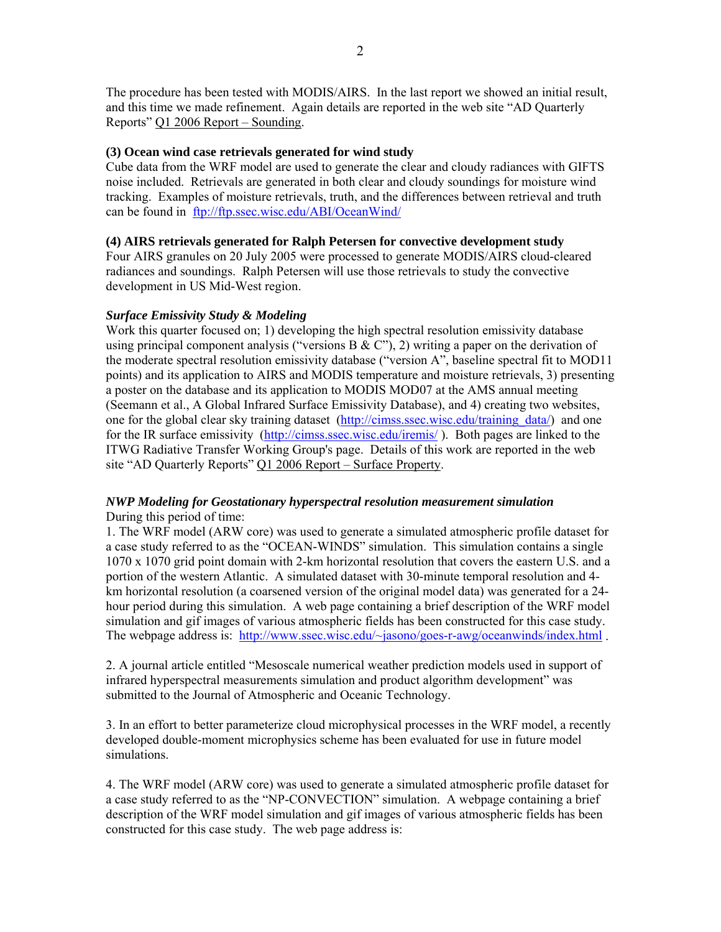The procedure has been tested with MODIS/AIRS. In the last report we showed an initial result, and this time we made refinement. Again details are reported in the web site "AD Quarterly Reports" Q1 2006 Report – Sounding.

### **(3) Ocean wind case retrievals generated for wind study**

Cube data from the WRF model are used to generate the clear and cloudy radiances with GIFTS noise included. Retrievals are generated in both clear and cloudy soundings for moisture wind tracking. Examples of moisture retrievals, truth, and the differences between retrieval and truth can be found in ftp://ftp.ssec.wisc.edu/ABI/OceanWind/

### **(4) AIRS retrievals generated for Ralph Petersen for convective development study**

Four AIRS granules on 20 July 2005 were processed to generate MODIS/AIRS cloud-cleared radiances and soundings. Ralph Petersen will use those retrievals to study the convective development in US Mid-West region.

### *Surface Emissivity Study & Modeling*

Work this quarter focused on; 1) developing the high spectral resolution emissivity database using principal component analysis ("versions B & C"), 2) writing a paper on the derivation of the moderate spectral resolution emissivity database ("version A", baseline spectral fit to MOD11 points) and its application to AIRS and MODIS temperature and moisture retrievals, 3) presenting a poster on the database and its application to MODIS MOD07 at the AMS annual meeting (Seemann et al., A Global Infrared Surface Emissivity Database), and 4) creating two websites, one for the global clear sky training dataset (http://cimss.ssec.wisc.edu/training\_data/) and one for the IR surface emissivity (http://cimss.ssec.wisc.edu/iremis/). Both pages are linked to the ITWG Radiative Transfer Working Group's page. Details of this work are reported in the web site "AD Quarterly Reports" Q1 2006 Report – Surface Property.

# *NWP Modeling for Geostationary hyperspectral resolution measurement simulation*  During this period of time:

1. The WRF model (ARW core) was used to generate a simulated atmospheric profile dataset for a case study referred to as the "OCEAN-WINDS" simulation. This simulation contains a single 1070 x 1070 grid point domain with 2-km horizontal resolution that covers the eastern U.S. and a portion of the western Atlantic. A simulated dataset with 30-minute temporal resolution and 4 km horizontal resolution (a coarsened version of the original model data) was generated for a 24 hour period during this simulation. A web page containing a brief description of the WRF model simulation and gif images of various atmospheric fields has been constructed for this case study. The webpage address is: http://www.ssec.wisc.edu/~jasono/goes-r-awg/oceanwinds/index.html .

2. A journal article entitled "Mesoscale numerical weather prediction models used in support of infrared hyperspectral measurements simulation and product algorithm development" was submitted to the Journal of Atmospheric and Oceanic Technology.

3. In an effort to better parameterize cloud microphysical processes in the WRF model, a recently developed double-moment microphysics scheme has been evaluated for use in future model simulations.

4. The WRF model (ARW core) was used to generate a simulated atmospheric profile dataset for a case study referred to as the "NP-CONVECTION" simulation. A webpage containing a brief description of the WRF model simulation and gif images of various atmospheric fields has been constructed for this case study. The web page address is: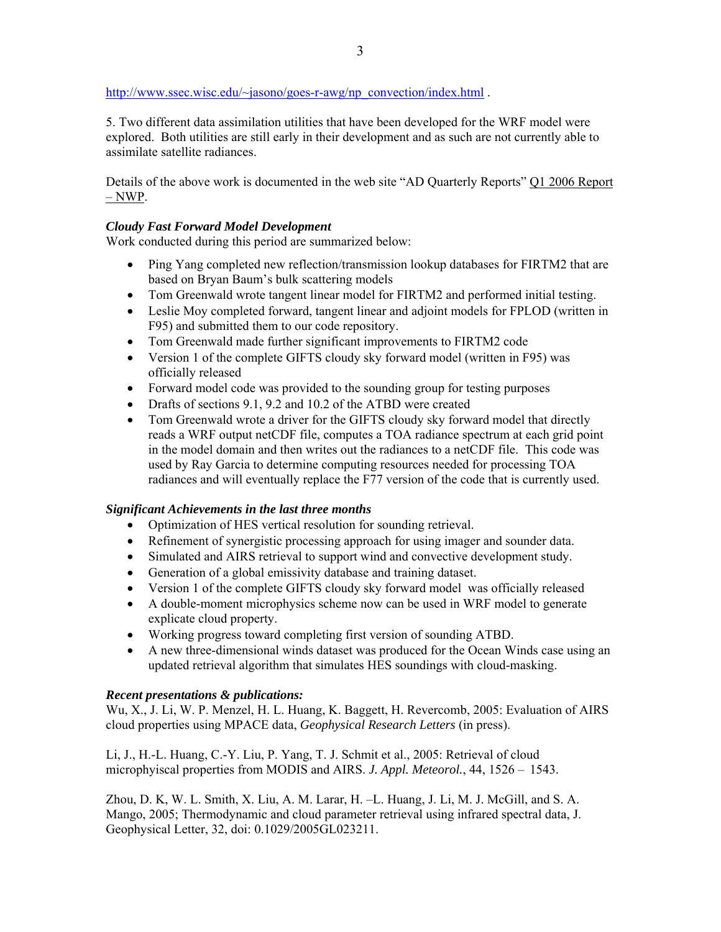http://www.ssec.wisc.edu/~jasono/goes-r-awg/np\_convection/index.html .

5. Two different data assimilation utilities that have been developed for the WRF model were explored. Both utilities are still early in their development and as such are not currently able to assimilate satellite radiances.

Details of the above work is documented in the web site "AD Quarterly Reports" Q1 2006 Report – NWP.

# *Cloudy Fast Forward Model Development*

Work conducted during this period are summarized below:

- Ping Yang completed new reflection/transmission lookup databases for FIRTM2 that are based on Bryan Baum's bulk scattering models
- Tom Greenwald wrote tangent linear model for FIRTM2 and performed initial testing.
- Leslie Moy completed forward, tangent linear and adjoint models for FPLOD (written in F95) and submitted them to our code repository.
- Tom Greenwald made further significant improvements to FIRTM2 code
- Version 1 of the complete GIFTS cloudy sky forward model (written in F95) was officially released
- Forward model code was provided to the sounding group for testing purposes
- Drafts of sections 9.1, 9.2 and 10.2 of the ATBD were created
- Tom Greenwald wrote a driver for the GIFTS cloudy sky forward model that directly reads a WRF output netCDF file, computes a TOA radiance spectrum at each grid point in the model domain and then writes out the radiances to a netCDF file. This code was used by Ray Garcia to determine computing resources needed for processing TOA radiances and will eventually replace the F77 version of the code that is currently used.

# *Significant Achievements in the last three months*

- Optimization of HES vertical resolution for sounding retrieval.
- Refinement of synergistic processing approach for using imager and sounder data.
- Simulated and AIRS retrieval to support wind and convective development study.
- Generation of a global emissivity database and training dataset.
- Version 1 of the complete GIFTS cloudy sky forward model was officially released
- A double-moment microphysics scheme now can be used in WRF model to generate explicate cloud property.
- Working progress toward completing first version of sounding ATBD.
- A new three-dimensional winds dataset was produced for the Ocean Winds case using an updated retrieval algorithm that simulates HES soundings with cloud-masking.

# *Recent presentations & publications:*

Wu, X., J. Li, W. P. Menzel, H. L. Huang, K. Baggett, H. Revercomb, 2005: Evaluation of AIRS cloud properties using MPACE data, *Geophysical Research Letters* (in press).

Li, J., H.-L. Huang, C.-Y. Liu, P. Yang, T. J. Schmit et al., 2005: Retrieval of cloud microphyiscal properties from MODIS and AIRS. *J. Appl. Meteorol.*, 44, 1526 – 1543.

Zhou, D. K, W. L. Smith, X. Liu, A. M. Larar, H. –L. Huang, J. Li, M. J. McGill, and S. A. Mango, 2005; Thermodynamic and cloud parameter retrieval using infrared spectral data, J. Geophysical Letter, 32, doi: 0.1029/2005GL023211.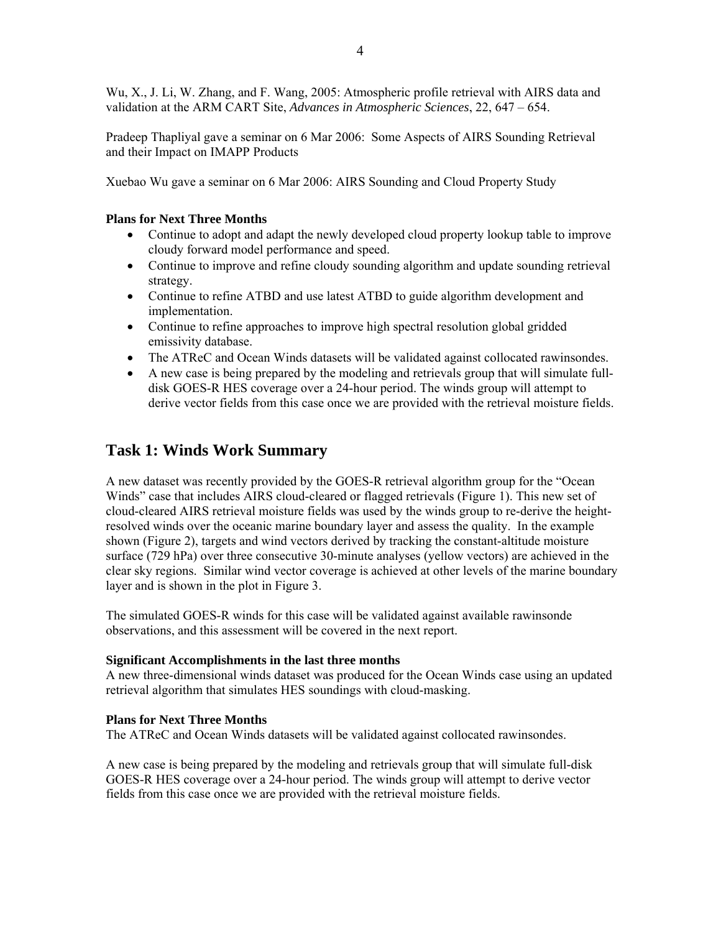Wu, X., J. Li, W. Zhang, and F. Wang, 2005: Atmospheric profile retrieval with AIRS data and validation at the ARM CART Site, *Advances in Atmospheric Sciences*, 22, 647 – 654.

Pradeep Thapliyal gave a seminar on 6 Mar 2006: Some Aspects of AIRS Sounding Retrieval and their Impact on IMAPP Products

Xuebao Wu gave a seminar on 6 Mar 2006: AIRS Sounding and Cloud Property Study

# **Plans for Next Three Months**

- Continue to adopt and adapt the newly developed cloud property lookup table to improve cloudy forward model performance and speed.
- Continue to improve and refine cloudy sounding algorithm and update sounding retrieval strategy.
- Continue to refine ATBD and use latest ATBD to guide algorithm development and implementation.
- Continue to refine approaches to improve high spectral resolution global gridded emissivity database.
- The ATReC and Ocean Winds datasets will be validated against collocated rawinsondes.
- A new case is being prepared by the modeling and retrievals group that will simulate fulldisk GOES-R HES coverage over a 24-hour period. The winds group will attempt to derive vector fields from this case once we are provided with the retrieval moisture fields.

# **Task 1: Winds Work Summary**

A new dataset was recently provided by the GOES-R retrieval algorithm group for the "Ocean Winds" case that includes AIRS cloud-cleared or flagged retrievals (Figure 1). This new set of cloud-cleared AIRS retrieval moisture fields was used by the winds group to re-derive the heightresolved winds over the oceanic marine boundary layer and assess the quality. In the example shown (Figure 2), targets and wind vectors derived by tracking the constant-altitude moisture surface (729 hPa) over three consecutive 30-minute analyses (yellow vectors) are achieved in the clear sky regions. Similar wind vector coverage is achieved at other levels of the marine boundary layer and is shown in the plot in Figure 3.

The simulated GOES-R winds for this case will be validated against available rawinsonde observations, and this assessment will be covered in the next report.

# **Significant Accomplishments in the last three months**

A new three-dimensional winds dataset was produced for the Ocean Winds case using an updated retrieval algorithm that simulates HES soundings with cloud-masking.

# **Plans for Next Three Months**

The ATReC and Ocean Winds datasets will be validated against collocated rawinsondes.

A new case is being prepared by the modeling and retrievals group that will simulate full-disk GOES-R HES coverage over a 24-hour period. The winds group will attempt to derive vector fields from this case once we are provided with the retrieval moisture fields.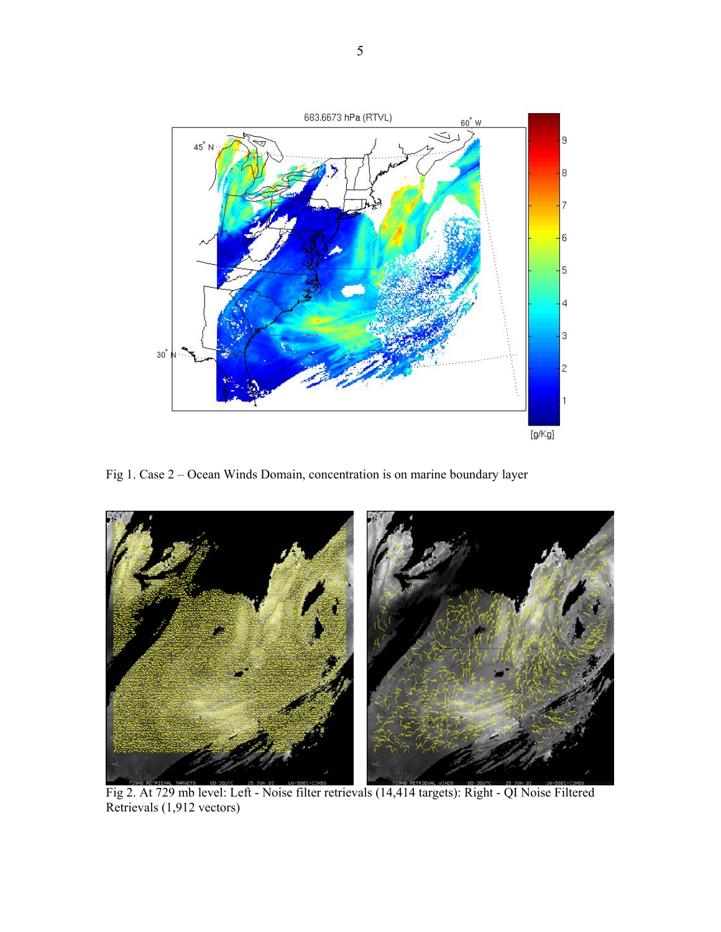

Fig 1. Case 2 – Ocean Winds Domain, concentration is on marine boundary layer



Fig 2. At 729 mb level: Left - Noise filter retrievals (14,414 targets): Right - QI Noise Filtered Retrievals (1,912 vectors)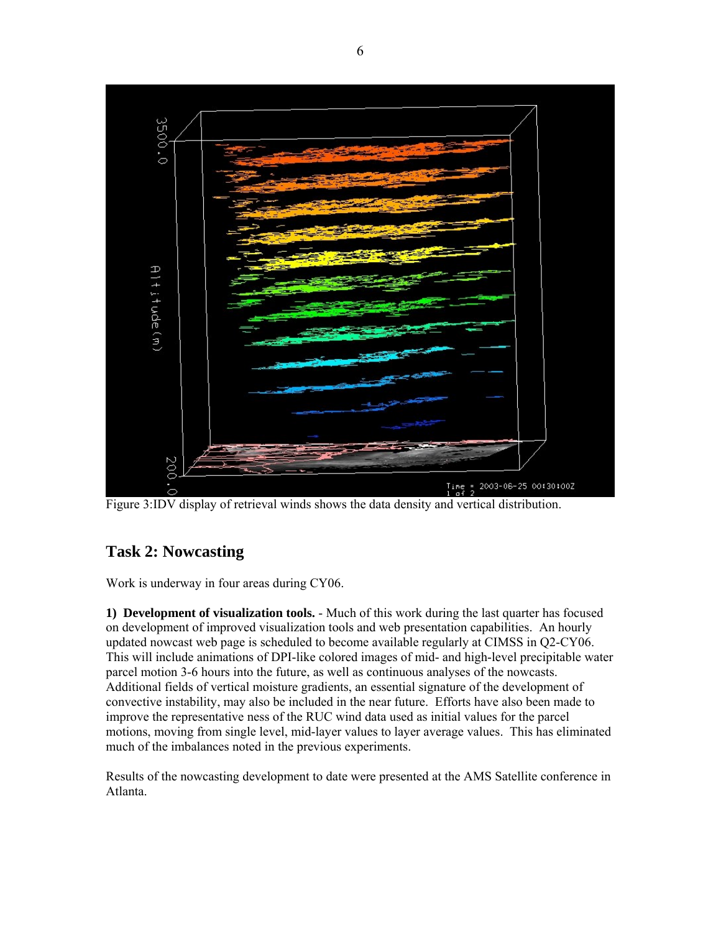

Figure 3:IDV display of retrieval winds shows the data density and vertical distribution.

# **Task 2: Nowcasting**

Work is underway in four areas during CY06.

**1) Development of visualization tools.** - Much of this work during the last quarter has focused on development of improved visualization tools and web presentation capabilities. An hourly updated nowcast web page is scheduled to become available regularly at CIMSS in Q2-CY06. This will include animations of DPI-like colored images of mid- and high-level precipitable water parcel motion 3-6 hours into the future, as well as continuous analyses of the nowcasts. Additional fields of vertical moisture gradients, an essential signature of the development of convective instability, may also be included in the near future. Efforts have also been made to improve the representative ness of the RUC wind data used as initial values for the parcel motions, moving from single level, mid-layer values to layer average values. This has eliminated much of the imbalances noted in the previous experiments.

Results of the nowcasting development to date were presented at the AMS Satellite conference in Atlanta.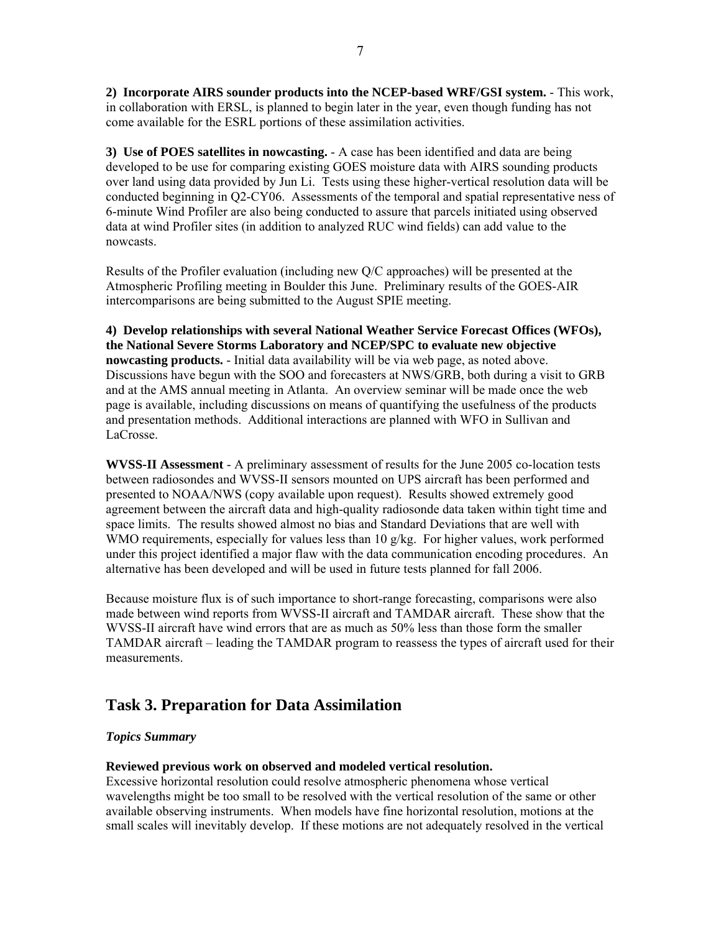**2) Incorporate AIRS sounder products into the NCEP-based WRF/GSI system.** - This work, in collaboration with ERSL, is planned to begin later in the year, even though funding has not come available for the ESRL portions of these assimilation activities.

**3) Use of POES satellites in nowcasting.** - A case has been identified and data are being developed to be use for comparing existing GOES moisture data with AIRS sounding products over land using data provided by Jun Li. Tests using these higher-vertical resolution data will be conducted beginning in Q2-CY06. Assessments of the temporal and spatial representative ness of 6-minute Wind Profiler are also being conducted to assure that parcels initiated using observed data at wind Profiler sites (in addition to analyzed RUC wind fields) can add value to the nowcasts.

Results of the Profiler evaluation (including new Q/C approaches) will be presented at the Atmospheric Profiling meeting in Boulder this June. Preliminary results of the GOES-AIR intercomparisons are being submitted to the August SPIE meeting.

**4) Develop relationships with several National Weather Service Forecast Offices (WFOs), the National Severe Storms Laboratory and NCEP/SPC to evaluate new objective nowcasting products.** - Initial data availability will be via web page, as noted above. Discussions have begun with the SOO and forecasters at NWS/GRB, both during a visit to GRB and at the AMS annual meeting in Atlanta. An overview seminar will be made once the web page is available, including discussions on means of quantifying the usefulness of the products and presentation methods. Additional interactions are planned with WFO in Sullivan and LaCrosse.

**WVSS-II Assessment** - A preliminary assessment of results for the June 2005 co-location tests between radiosondes and WVSS-II sensors mounted on UPS aircraft has been performed and presented to NOAA/NWS (copy available upon request). Results showed extremely good agreement between the aircraft data and high-quality radiosonde data taken within tight time and space limits. The results showed almost no bias and Standard Deviations that are well with WMO requirements, especially for values less than  $10 \frac{\alpha}{\text{kg}}$ . For higher values, work performed under this project identified a major flaw with the data communication encoding procedures. An alternative has been developed and will be used in future tests planned for fall 2006.

Because moisture flux is of such importance to short-range forecasting, comparisons were also made between wind reports from WVSS-II aircraft and TAMDAR aircraft. These show that the WVSS-II aircraft have wind errors that are as much as 50% less than those form the smaller TAMDAR aircraft – leading the TAMDAR program to reassess the types of aircraft used for their measurements.

# **Task 3. Preparation for Data Assimilation**

# *Topics Summary*

# **Reviewed previous work on observed and modeled vertical resolution.**

Excessive horizontal resolution could resolve atmospheric phenomena whose vertical wavelengths might be too small to be resolved with the vertical resolution of the same or other available observing instruments. When models have fine horizontal resolution, motions at the small scales will inevitably develop. If these motions are not adequately resolved in the vertical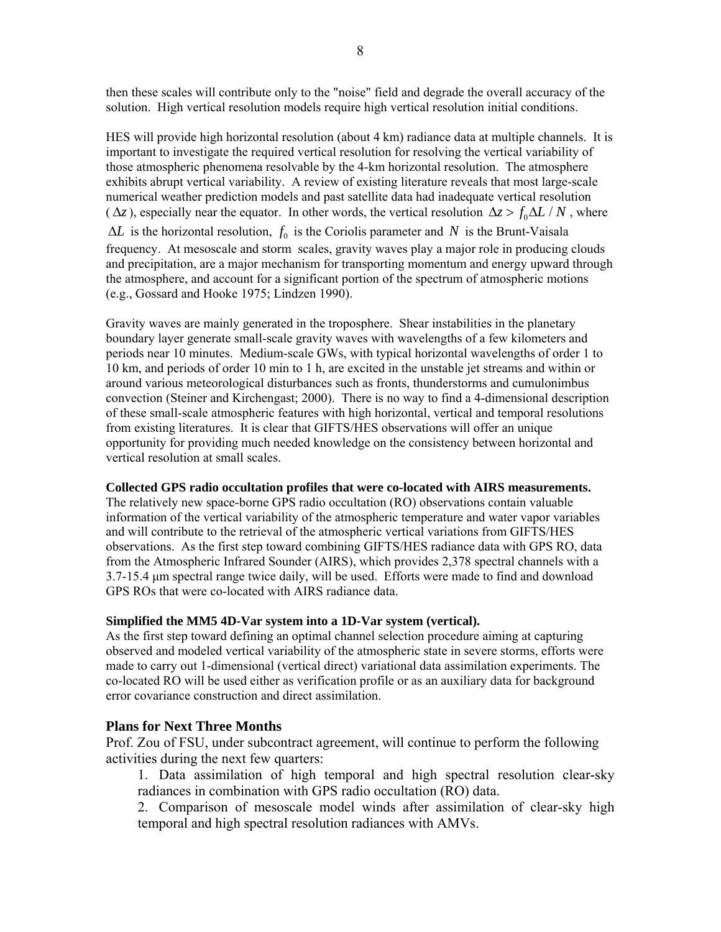then these scales will contribute only to the "noise" field and degrade the overall accuracy of the solution. High vertical resolution models require high vertical resolution initial conditions.

HES will provide high horizontal resolution (about 4 km) radiance data at multiple channels. It is important to investigate the required vertical resolution for resolving the vertical variability of those atmospheric phenomena resolvable by the 4-km horizontal resolution. The atmosphere exhibits abrupt vertical variability. A review of existing literature reveals that most large-scale numerical weather prediction models and past satellite data had inadequate vertical resolution ( $\Delta z$ ), especially near the equator. In other words, the vertical resolution  $\Delta z > f_0 \Delta L / N$ , where  $\Delta L$  is the horizontal resolution,  $f_0$  is the Coriolis parameter and N is the Brunt-Vaisala frequency. At mesoscale and storm scales, gravity waves play a major role in producing clouds and precipitation, are a major mechanism for transporting momentum and energy upward through the atmosphere, and account for a significant portion of the spectrum of atmospheric motions (e.g., Gossard and Hooke 1975; Lindzen 1990).

Gravity waves are mainly generated in the troposphere. Shear instabilities in the planetary boundary layer generate small-scale gravity waves with wavelengths of a few kilometers and periods near 10 minutes. Medium-scale GWs, with typical horizontal wavelengths of order 1 to 10 km, and periods of order 10 min to 1 h, are excited in the unstable jet streams and within or around various meteorological disturbances such as fronts, thunderstorms and cumulonimbus convection (Steiner and Kirchengast; 2000). There is no way to find a 4-dimensional description of these small-scale atmospheric features with high horizontal, vertical and temporal resolutions from existing literatures. It is clear that GIFTS/HES observations will offer an unique opportunity for providing much needed knowledge on the consistency between horizontal and vertical resolution at small scales.

### **Collected GPS radio occultation profiles that were co-located with AIRS measurements.**

The relatively new space-borne GPS radio occultation (RO) observations contain valuable information of the vertical variability of the atmospheric temperature and water vapor variables and will contribute to the retrieval of the atmospheric vertical variations from GIFTS/HES observations. As the first step toward combining GIFTS/HES radiance data with GPS RO, data from the Atmospheric Infrared Sounder (AIRS), which provides 2,378 spectral channels with a 3.7-15.4 μm spectral range twice daily, will be used. Efforts were made to find and download GPS ROs that were co-located with AIRS radiance data.

# **Simplified the MM5 4D-Var system into a 1D-Var system (vertical).**

As the first step toward defining an optimal channel selection procedure aiming at capturing observed and modeled vertical variability of the atmospheric state in severe storms, efforts were made to carry out 1-dimensional (vertical direct) variational data assimilation experiments. The co-located RO will be used either as verification profile or as an auxiliary data for background error covariance construction and direct assimilation.

# **Plans for Next Three Months**

Prof. Zou of FSU, under subcontract agreement, will continue to perform the following activities during the next few quarters:

1. Data assimilation of high temporal and high spectral resolution clear-sky radiances in combination with GPS radio occultation (RO) data.

2. Comparison of mesoscale model winds after assimilation of clear-sky high temporal and high spectral resolution radiances with AMVs.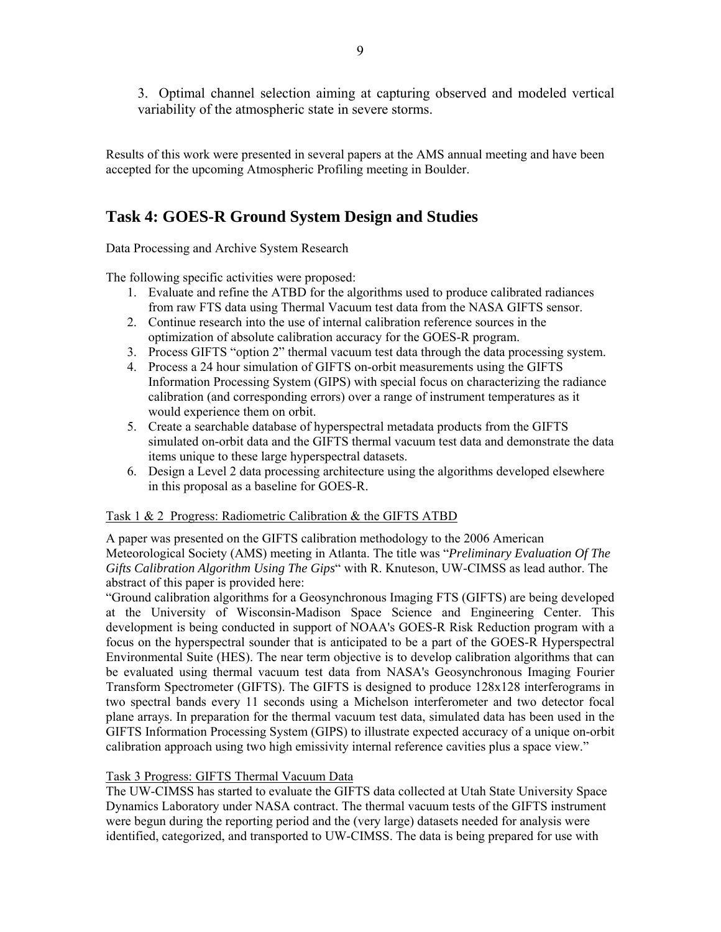3. Optimal channel selection aiming at capturing observed and modeled vertical variability of the atmospheric state in severe storms.

Results of this work were presented in several papers at the AMS annual meeting and have been accepted for the upcoming Atmospheric Profiling meeting in Boulder.

# **Task 4: GOES-R Ground System Design and Studies**

Data Processing and Archive System Research

The following specific activities were proposed:

- 1. Evaluate and refine the ATBD for the algorithms used to produce calibrated radiances from raw FTS data using Thermal Vacuum test data from the NASA GIFTS sensor.
- 2. Continue research into the use of internal calibration reference sources in the optimization of absolute calibration accuracy for the GOES-R program.
- 3. Process GIFTS "option 2" thermal vacuum test data through the data processing system.
- 4. Process a 24 hour simulation of GIFTS on-orbit measurements using the GIFTS Information Processing System (GIPS) with special focus on characterizing the radiance calibration (and corresponding errors) over a range of instrument temperatures as it would experience them on orbit.
- 5. Create a searchable database of hyperspectral metadata products from the GIFTS simulated on-orbit data and the GIFTS thermal vacuum test data and demonstrate the data items unique to these large hyperspectral datasets.
- 6. Design a Level 2 data processing architecture using the algorithms developed elsewhere in this proposal as a baseline for GOES-R.

# Task 1 & 2 Progress: Radiometric Calibration & the GIFTS ATBD

A paper was presented on the GIFTS calibration methodology to the 2006 American Meteorological Society (AMS) meeting in Atlanta. The title was "*Preliminary Evaluation Of The Gifts Calibration Algorithm Using The Gips*" with R. Knuteson, UW-CIMSS as lead author. The abstract of this paper is provided here:

"Ground calibration algorithms for a Geosynchronous Imaging FTS (GIFTS) are being developed at the University of Wisconsin-Madison Space Science and Engineering Center. This development is being conducted in support of NOAA's GOES-R Risk Reduction program with a focus on the hyperspectral sounder that is anticipated to be a part of the GOES-R Hyperspectral Environmental Suite (HES). The near term objective is to develop calibration algorithms that can be evaluated using thermal vacuum test data from NASA's Geosynchronous Imaging Fourier Transform Spectrometer (GIFTS). The GIFTS is designed to produce 128x128 interferograms in two spectral bands every 11 seconds using a Michelson interferometer and two detector focal plane arrays. In preparation for the thermal vacuum test data, simulated data has been used in the GIFTS Information Processing System (GIPS) to illustrate expected accuracy of a unique on-orbit calibration approach using two high emissivity internal reference cavities plus a space view."

# Task 3 Progress: GIFTS Thermal Vacuum Data

The UW-CIMSS has started to evaluate the GIFTS data collected at Utah State University Space Dynamics Laboratory under NASA contract. The thermal vacuum tests of the GIFTS instrument were begun during the reporting period and the (very large) datasets needed for analysis were identified, categorized, and transported to UW-CIMSS. The data is being prepared for use with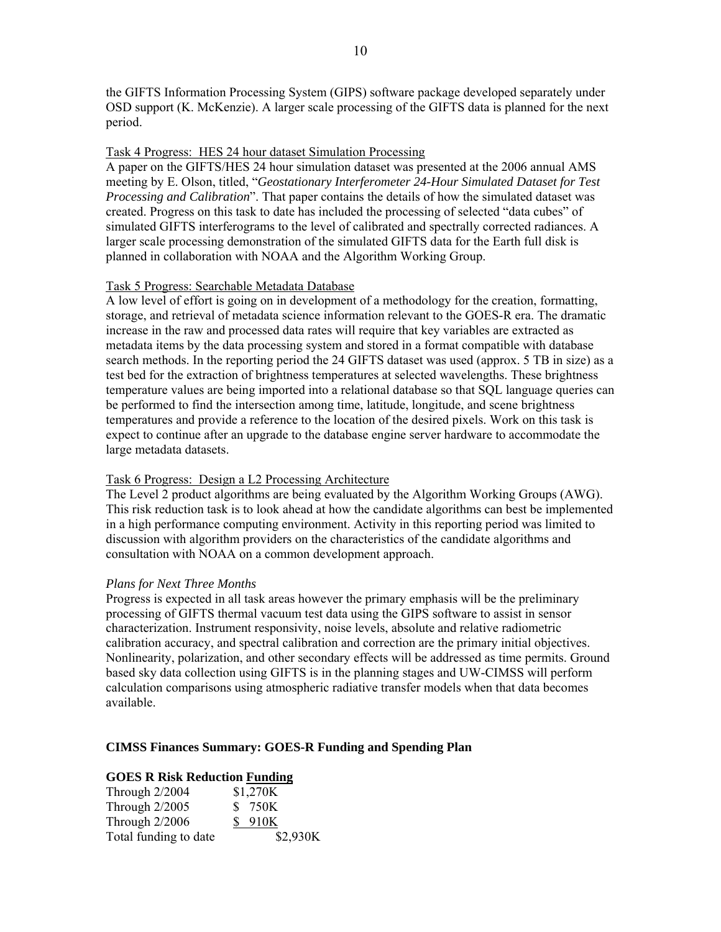the GIFTS Information Processing System (GIPS) software package developed separately under OSD support (K. McKenzie). A larger scale processing of the GIFTS data is planned for the next period.

#### Task 4 Progress: HES 24 hour dataset Simulation Processing

A paper on the GIFTS/HES 24 hour simulation dataset was presented at the 2006 annual AMS meeting by E. Olson, titled, "*Geostationary Interferometer 24-Hour Simulated Dataset for Test Processing and Calibration*". That paper contains the details of how the simulated dataset was created. Progress on this task to date has included the processing of selected "data cubes" of simulated GIFTS interferograms to the level of calibrated and spectrally corrected radiances. A larger scale processing demonstration of the simulated GIFTS data for the Earth full disk is planned in collaboration with NOAA and the Algorithm Working Group.

#### Task 5 Progress: Searchable Metadata Database

A low level of effort is going on in development of a methodology for the creation, formatting, storage, and retrieval of metadata science information relevant to the GOES-R era. The dramatic increase in the raw and processed data rates will require that key variables are extracted as metadata items by the data processing system and stored in a format compatible with database search methods. In the reporting period the 24 GIFTS dataset was used (approx. 5 TB in size) as a test bed for the extraction of brightness temperatures at selected wavelengths. These brightness temperature values are being imported into a relational database so that SQL language queries can be performed to find the intersection among time, latitude, longitude, and scene brightness temperatures and provide a reference to the location of the desired pixels. Work on this task is expect to continue after an upgrade to the database engine server hardware to accommodate the large metadata datasets.

### Task 6 Progress: Design a L2 Processing Architecture

The Level 2 product algorithms are being evaluated by the Algorithm Working Groups (AWG). This risk reduction task is to look ahead at how the candidate algorithms can best be implemented in a high performance computing environment. Activity in this reporting period was limited to discussion with algorithm providers on the characteristics of the candidate algorithms and consultation with NOAA on a common development approach.

#### *Plans for Next Three Months*

Progress is expected in all task areas however the primary emphasis will be the preliminary processing of GIFTS thermal vacuum test data using the GIPS software to assist in sensor characterization. Instrument responsivity, noise levels, absolute and relative radiometric calibration accuracy, and spectral calibration and correction are the primary initial objectives. Nonlinearity, polarization, and other secondary effects will be addressed as time permits. Ground based sky data collection using GIFTS is in the planning stages and UW-CIMSS will perform calculation comparisons using atmospheric radiative transfer models when that data becomes available.

#### **CIMSS Finances Summary: GOES-R Funding and Spending Plan**

#### **GOES R Risk Reduction Funding**

| Through 2/2004        | \$1,270K |
|-----------------------|----------|
| Through $2/2005$      | \$ 750K  |
| Through $2/2006$      | \$ 910K  |
| Total funding to date | \$2,930K |